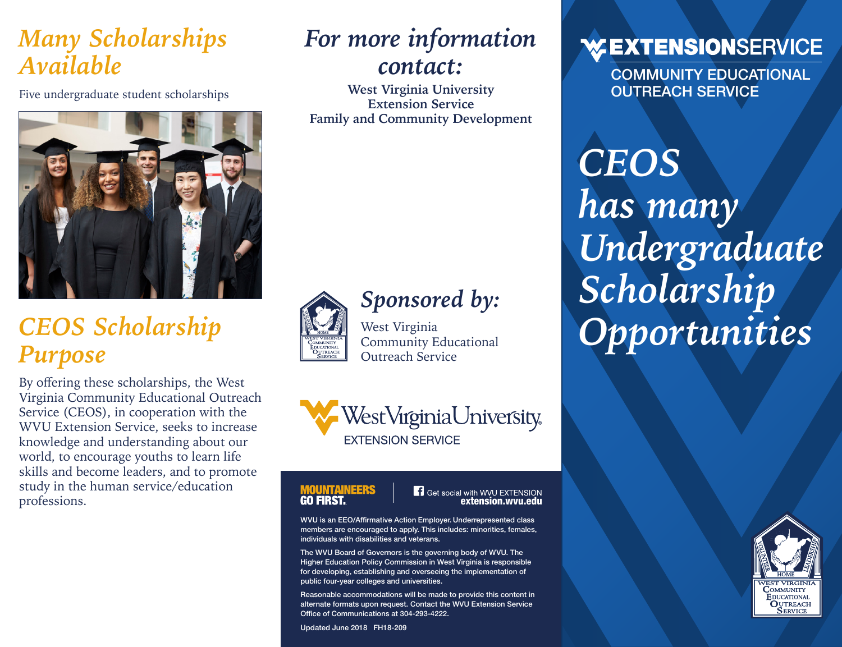### *Many Scholarships Available*

Five undergraduate student scholarships



# *CEOS Scholarship Purpose*

By offering these scholarships, the West Virginia Community Educational Outreach Service (CEOS), in cooperation with the WVU Extension Service, seeks to increase knowledge and understanding about our world, to encourage youths to learn life skills and become leaders, and to promote study in the human service/education professions.

# *For more information contact:*

**West Virginia University Extension Service Family and Community Development**



# *Sponsored by:*

West Virginia Community Educational Outreach Service



#### **MOUNTAINEERS GO FIRST.**

**F** Get social with WVU EXTENSION

WVU is an EEO/Affirmative Action Employer. Underrepresented class members are encouraged to apply. This includes: minorities, females, individuals with disabilities and veterans.

The WVU Board of Governors is the governing body of WVU. The Higher Education Policy Commission in West Virginia is responsible for developing, establishing and overseeing the implementation of public four-year colleges and universities.

Reasonable accommodations will be made to provide this content in alternate formats upon request. Contact the WVU Extension Service Office of Communications at 304-293-4222.

Updated June 2018 FH18-209

#### **WEXTENSIONSERVICE**

COMMUNITY EDUCATIONAL OUTREACH SERVICE

*CEOS has many Undergraduate Scholarship Opportunities*